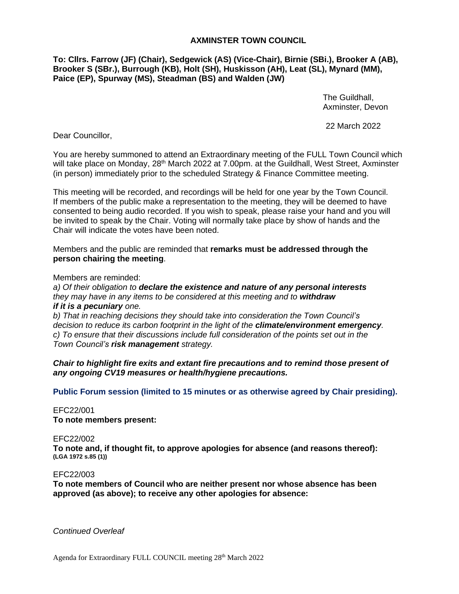### **AXMINSTER TOWN COUNCIL**

**To: Cllrs. Farrow (JF) (Chair), Sedgewick (AS) (Vice-Chair), Birnie (SBi.), Brooker A (AB), Brooker S (SBr.), Burrough (KB), Holt (SH), Huskisson (AH), Leat (SL), Mynard (MM), Paice (EP), Spurway (MS), Steadman (BS) and Walden (JW)**

> The Guildhall, Axminster, Devon

22 March 2022

Dear Councillor,

You are hereby summoned to attend an Extraordinary meeting of the FULL Town Council which will take place on Monday, 28<sup>th</sup> March 2022 at 7.00pm, at the Guildhall, West Street, Axminster (in person) immediately prior to the scheduled Strategy & Finance Committee meeting.

This meeting will be recorded, and recordings will be held for one year by the Town Council. If members of the public make a representation to the meeting, they will be deemed to have consented to being audio recorded. If you wish to speak, please raise your hand and you will be invited to speak by the Chair. Voting will normally take place by show of hands and the Chair will indicate the votes have been noted.

Members and the public are reminded that **remarks must be addressed through the person chairing the meeting**.

Members are reminded:

*a) Of their obligation to declare the existence and nature of any personal interests they may have in any items to be considered at this meeting and to withdraw if it is a pecuniary one.* 

*b) That in reaching decisions they should take into consideration the Town Council's decision to reduce its carbon footprint in the light of the climate/environment emergency. c) To ensure that their discussions include full consideration of the points set out in the Town Council's risk management strategy.*

*Chair to highlight fire exits and extant fire precautions and to remind those present of any ongoing CV19 measures or health/hygiene precautions.*

**Public Forum session (limited to 15 minutes or as otherwise agreed by Chair presiding).**

## EFC22/001 **To note members present:**

EFC22/002

**To note and, if thought fit, to approve apologies for absence (and reasons thereof): (LGA 1972 s.85 (1))**

#### EFC22/003

**To note members of Council who are neither present nor whose absence has been approved (as above); to receive any other apologies for absence:**

*Continued Overleaf*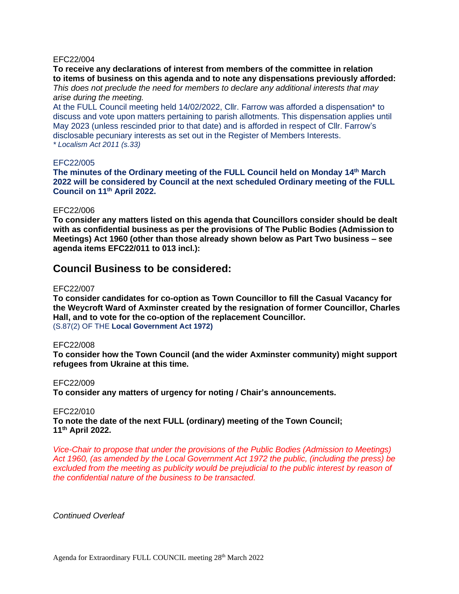#### EFC22/004

**To receive any declarations of interest from members of the committee in relation to items of business on this agenda and to note any dispensations previously afforded:** *This does not preclude the need for members to declare any additional interests that may arise during the meeting.*

At the FULL Council meeting held 14/02/2022, Cllr. Farrow was afforded a dispensation\* to discuss and vote upon matters pertaining to parish allotments. This dispensation applies until May 2023 (unless rescinded prior to that date) and is afforded in respect of Cllr. Farrow's disclosable pecuniary interests as set out in the Register of Members Interests. *\* Localism Act 2011 (s.33)*

#### EFC22/005

**The minutes of the Ordinary meeting of the FULL Council held on Monday 14 th March 2022 will be considered by Council at the next scheduled Ordinary meeting of the FULL Council on 11th April 2022.**

### EFC22/006

**To consider any matters listed on this agenda that Councillors consider should be dealt with as confidential business as per the provisions of The Public Bodies (Admission to Meetings) Act 1960 (other than those already shown below as Part Two business – see agenda items EFC22/011 to 013 incl.):**

## **Council Business to be considered:**

#### EFC22/007

**To consider candidates for co-option as Town Councillor to fill the Casual Vacancy for the Weycroft Ward of Axminster created by the resignation of former Councillor, Charles Hall, and to vote for the co-option of the replacement Councillor.**  (S.87(2) OF THE **Local Government Act 1972)**

#### EFC22/008

**To consider how the Town Council (and the wider Axminster community) might support refugees from Ukraine at this time.**

#### EFC22/009

**To consider any matters of urgency for noting / Chair's announcements.**

#### EFC22/010

**To note the date of the next FULL (ordinary) meeting of the Town Council; 11 th April 2022.**

*Vice-Chair to propose that under the provisions of the Public Bodies (Admission to Meetings) Act 1960, (as amended by the Local Government Act 1972 the public, (including the press) be*  excluded from the meeting as publicity would be prejudicial to the public interest by reason of *the confidential nature of the business to be transacted.*

*Continued Overleaf*